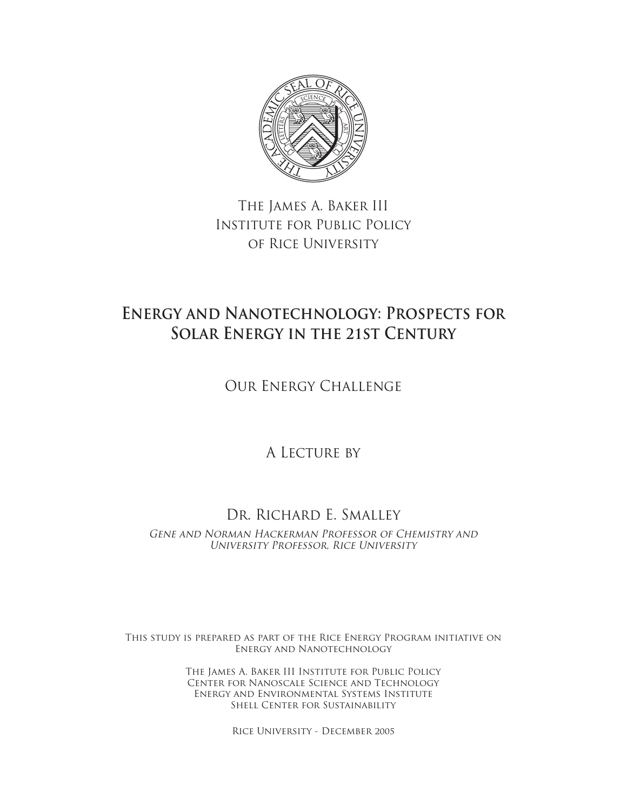

The James A. Baker III Institute for Public Policy of Rice University

# **Energy and Nanotechnology: Prospects for Solar Energy in the 21st Century**

Our Energy Challenge

A LECTURE BY

## Dr. Richard E. Smalley

GENE AND NORMAN HACKERMAN PROFESSOR OF CHEMISTRY AND University Professor, Rice University

This study is prepared as part of the Rice Energy Program initiative on Energy and Nanotechnology

> The James A. Baker III Institute for Public Policy Center for Nanoscale Science and Technology Energy and Environmental Systems Institute Shell Center for Sustainability

> > Rice University - December 2005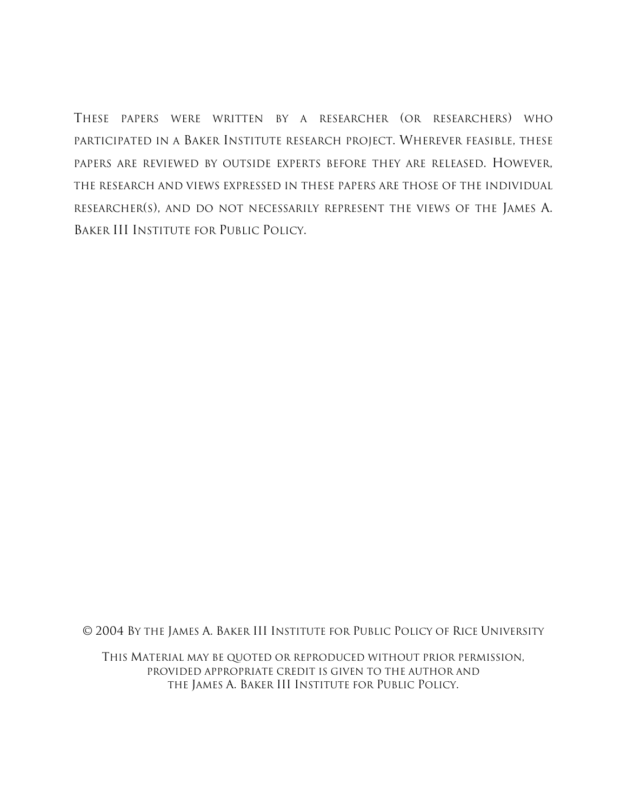THESE PAPERS WERE WRITTEN BY A RESEARCHER (OR RESEARCHERS) WHO PARTICIPATED IN A BAKER INSTITUTE RESEARCH PROJECT. WHEREVER FEASIBLE, THESE PAPERS ARE REVIEWED BY OUTSIDE EXPERTS BEFORE THEY ARE RELEASED. HOWEVER, THE RESEARCH AND VIEWS EXPRESSED IN THESE PAPERS ARE THOSE OF THE INDIVIDUAL RESEARCHER(S), AND DO NOT NECESSARILY REPRESENT THE VIEWS OF THE JAMES A. BAKER III INSTITUTE FOR PUBLIC POLICY.

© 2004 BY THE JAMES A. BAKER III INSTITUTE FOR PUBLIC POLICY OF RICE UNIVERSITY

THIS MATERIAL MAY BE QUOTED OR REPRODUCED WITHOUT PRIOR PERMISSION, PROVIDED APPROPRIATE CREDIT IS GIVEN TO THE AUTHOR AND THE JAMES A. BAKER III INSTITUTE FOR PUBLIC POLICY.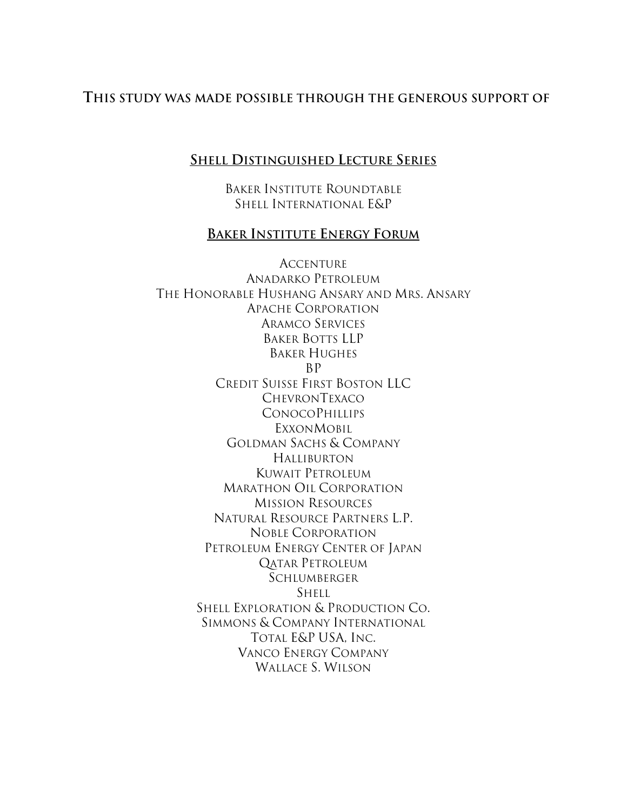## **THIS STUDY WAS MADE POSSIBLE THROUGH THE GENEROUS SUPPORT OF**

### **SHELL DISTINGUISHED LECTURE SERIES**

BAKER INSTITUTE ROUNDTABLE SHELL INTERNATIONAL E&P

### **BAKER INSTITUTE ENERGY FORUM**

ACCENTURE ANADARKO PETROLEUM THE HONORABLE HUSHANG ANSARY AND MRS. ANSARY APACHE CORPORATION ARAMCO SERVICES BAKER BOTTS LLP BAKER HUGHES BP CREDIT SUISSE FIRST BOSTON LLC CHEVRONTEXACO **CONOCOPHILLIPS EXXONMOBIL** GOLDMAN SACHS & COMPANY HALLIBURTON KUWAIT PETROLEUM MARATHON OIL CORPORATION MISSION RESOURCES NATURAL RESOURCE PARTNERS L.P. NOBLE CORPORATION PETROLEUM ENERGY CENTER OF JAPAN QATAR PETROLEUM **SCHLUMBERGER** SHELL SHELL EXPLORATION & PRODUCTION CO. SIMMONS & COMPANY INTERNATIONAL TOTAL E&P USA, INC. VANCO ENERGY COMPANY WALLACE S. WILSON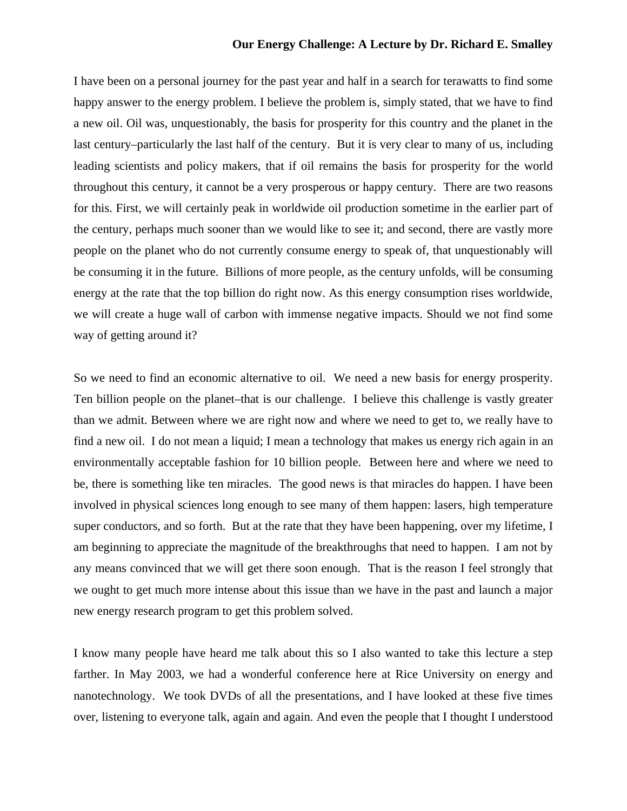I have been on a personal journey for the past year and half in a search for terawatts to find some happy answer to the energy problem. I believe the problem is, simply stated, that we have to find a new oil. Oil was, unquestionably, the basis for prosperity for this country and the planet in the last century–particularly the last half of the century. But it is very clear to many of us, including leading scientists and policy makers, that if oil remains the basis for prosperity for the world throughout this century, it cannot be a very prosperous or happy century. There are two reasons for this. First, we will certainly peak in worldwide oil production sometime in the earlier part of the century, perhaps much sooner than we would like to see it; and second, there are vastly more people on the planet who do not currently consume energy to speak of, that unquestionably will be consuming it in the future. Billions of more people, as the century unfolds, will be consuming energy at the rate that the top billion do right now. As this energy consumption rises worldwide, we will create a huge wall of carbon with immense negative impacts. Should we not find some way of getting around it?

So we need to find an economic alternative to oil. We need a new basis for energy prosperity. Ten billion people on the planet–that is our challenge. I believe this challenge is vastly greater than we admit. Between where we are right now and where we need to get to, we really have to find a new oil. I do not mean a liquid; I mean a technology that makes us energy rich again in an environmentally acceptable fashion for 10 billion people. Between here and where we need to be, there is something like ten miracles. The good news is that miracles do happen. I have been involved in physical sciences long enough to see many of them happen: lasers, high temperature super conductors, and so forth. But at the rate that they have been happening, over my lifetime, I am beginning to appreciate the magnitude of the breakthroughs that need to happen. I am not by any means convinced that we will get there soon enough. That is the reason I feel strongly that we ought to get much more intense about this issue than we have in the past and launch a major new energy research program to get this problem solved.

I know many people have heard me talk about this so I also wanted to take this lecture a step farther. In May 2003, we had a wonderful conference here at Rice University on energy and nanotechnology. We took DVDs of all the presentations, and I have looked at these five times over, listening to everyone talk, again and again. And even the people that I thought I understood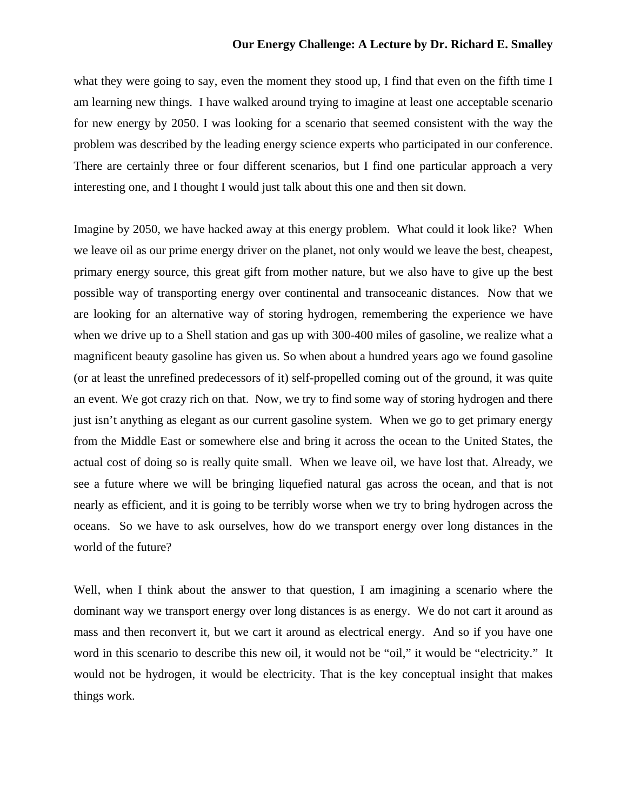what they were going to say, even the moment they stood up, I find that even on the fifth time I am learning new things. I have walked around trying to imagine at least one acceptable scenario for new energy by 2050. I was looking for a scenario that seemed consistent with the way the problem was described by the leading energy science experts who participated in our conference. There are certainly three or four different scenarios, but I find one particular approach a very interesting one, and I thought I would just talk about this one and then sit down.

Imagine by 2050, we have hacked away at this energy problem. What could it look like? When we leave oil as our prime energy driver on the planet, not only would we leave the best, cheapest, primary energy source, this great gift from mother nature, but we also have to give up the best possible way of transporting energy over continental and transoceanic distances. Now that we are looking for an alternative way of storing hydrogen, remembering the experience we have when we drive up to a Shell station and gas up with 300-400 miles of gasoline, we realize what a magnificent beauty gasoline has given us. So when about a hundred years ago we found gasoline (or at least the unrefined predecessors of it) self-propelled coming out of the ground, it was quite an event. We got crazy rich on that. Now, we try to find some way of storing hydrogen and there just isn't anything as elegant as our current gasoline system. When we go to get primary energy from the Middle East or somewhere else and bring it across the ocean to the United States, the actual cost of doing so is really quite small. When we leave oil, we have lost that. Already, we see a future where we will be bringing liquefied natural gas across the ocean, and that is not nearly as efficient, and it is going to be terribly worse when we try to bring hydrogen across the oceans. So we have to ask ourselves, how do we transport energy over long distances in the world of the future?

Well, when I think about the answer to that question, I am imagining a scenario where the dominant way we transport energy over long distances is as energy. We do not cart it around as mass and then reconvert it, but we cart it around as electrical energy. And so if you have one word in this scenario to describe this new oil, it would not be "oil," it would be "electricity." It would not be hydrogen, it would be electricity. That is the key conceptual insight that makes things work.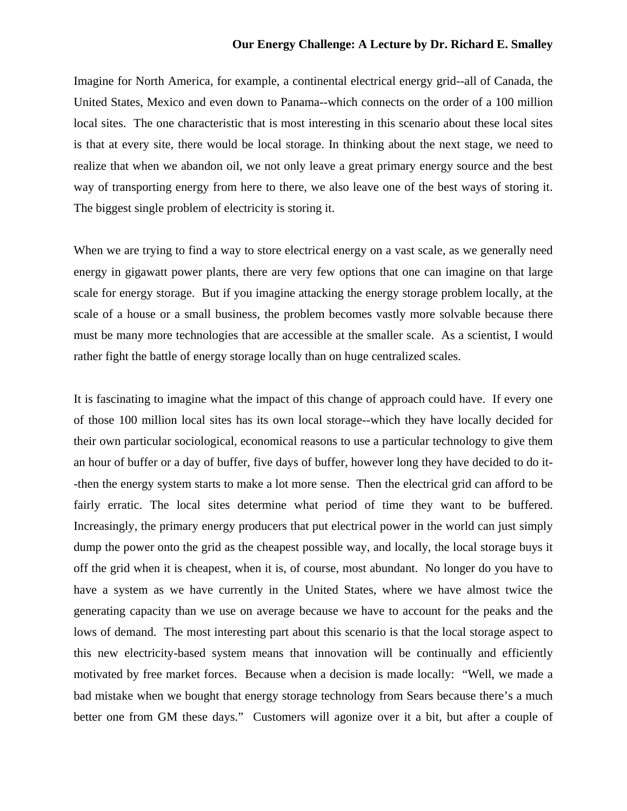Imagine for North America, for example, a continental electrical energy grid--all of Canada, the United States, Mexico and even down to Panama--which connects on the order of a 100 million local sites. The one characteristic that is most interesting in this scenario about these local sites is that at every site, there would be local storage. In thinking about the next stage, we need to realize that when we abandon oil, we not only leave a great primary energy source and the best way of transporting energy from here to there, we also leave one of the best ways of storing it. The biggest single problem of electricity is storing it.

When we are trying to find a way to store electrical energy on a vast scale, as we generally need energy in gigawatt power plants, there are very few options that one can imagine on that large scale for energy storage. But if you imagine attacking the energy storage problem locally, at the scale of a house or a small business, the problem becomes vastly more solvable because there must be many more technologies that are accessible at the smaller scale. As a scientist, I would rather fight the battle of energy storage locally than on huge centralized scales.

It is fascinating to imagine what the impact of this change of approach could have. If every one of those 100 million local sites has its own local storage--which they have locally decided for their own particular sociological, economical reasons to use a particular technology to give them an hour of buffer or a day of buffer, five days of buffer, however long they have decided to do it- -then the energy system starts to make a lot more sense. Then the electrical grid can afford to be fairly erratic. The local sites determine what period of time they want to be buffered. Increasingly, the primary energy producers that put electrical power in the world can just simply dump the power onto the grid as the cheapest possible way, and locally, the local storage buys it off the grid when it is cheapest, when it is, of course, most abundant. No longer do you have to have a system as we have currently in the United States, where we have almost twice the generating capacity than we use on average because we have to account for the peaks and the lows of demand. The most interesting part about this scenario is that the local storage aspect to this new electricity-based system means that innovation will be continually and efficiently motivated by free market forces. Because when a decision is made locally: "Well, we made a bad mistake when we bought that energy storage technology from Sears because there's a much better one from GM these days." Customers will agonize over it a bit, but after a couple of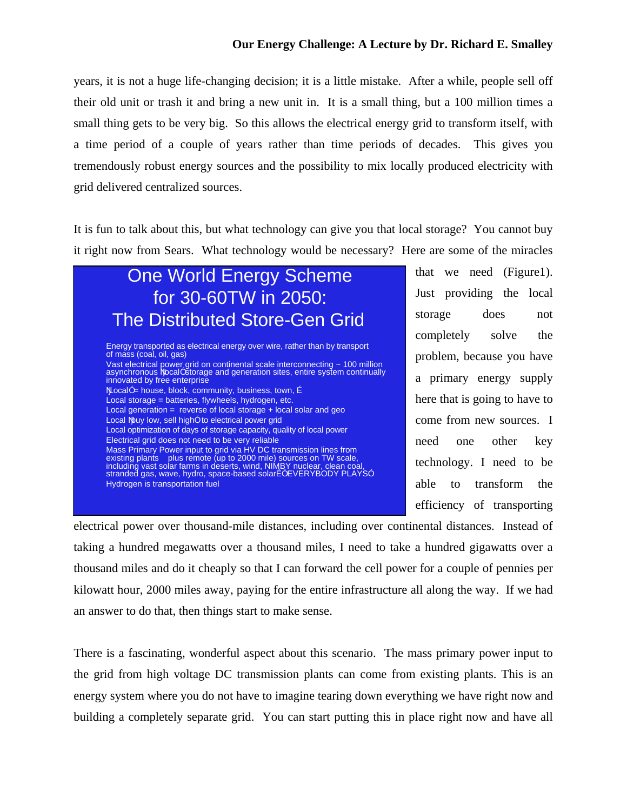years, it is not a huge life-changing decision; it is a little mistake. After a while, people sell off their old unit or trash it and bring a new unit in. It is a small thing, but a 100 million times a small thing gets to be very big. So this allows the electrical energy grid to transform itself, with a time period of a couple of years rather than time periods of decades. This gives you tremendously robust energy sources and the possibility to mix locally produced electricity with grid delivered centralized sources.

It is fun to talk about this, but what technology can give you that local storage? You cannot buy it right now from Sears. What technology would be necessary? Here are some of the miracles

## One World Energy Scheme for 30-60TW in 2050: The Distributed Store-Gen Grid Energy transported as electrical energy over wire, rather than by transport of mass (coal, oil, gas) Vast electrical power grid on continental scale interconnecting ~ 100 million<br>asynchronous NocalÓ storage and generation sites, entire system continually innovated by free enterprise NocalÓ = house, block, community, business, town, É Local storage = batteries, flywheels, hydrogen, etc. Local generation = reverse of local storage + local solar and geo Local Nbuy low, sell highÓ to electrical power grid Local optimization of days of storage capacity, quality of local power Electrical grid does not need to be very reliable

Mass Primary Power input to grid via HV DC transmission lines from<br>existing plants plus remote (up to 2000 mile) sources on TW scale,<br>including vast solar farms in deserts, wind, NIMBY nuclear, clean coal,<br>stranded gas, wa Hydrogen is transportation fuel

that we need (Figure1). Just providing the local storage does not completely solve the problem, because you have a primary energy supply here that is going to have to come from new sources. I need one other key technology. I need to be able to transform the efficiency of transporting

electrical power over thousand-mile distances, including over continental distances. Instead of taking a hundred megawatts over a thousand miles, I need to take a hundred gigawatts over a thousand miles and do it cheaply so that I can forward the cell power for a couple of pennies per kilowatt hour, 2000 miles away, paying for the entire infrastructure all along the way. If we had an answer to do that, then things start to make sense.

There is a fascinating, wonderful aspect about this scenario. The mass primary power input to the grid from high voltage DC transmission plants can come from existing plants. This is an energy system where you do not have to imagine tearing down everything we have right now and building a completely separate grid. You can start putting this in place right now and have all